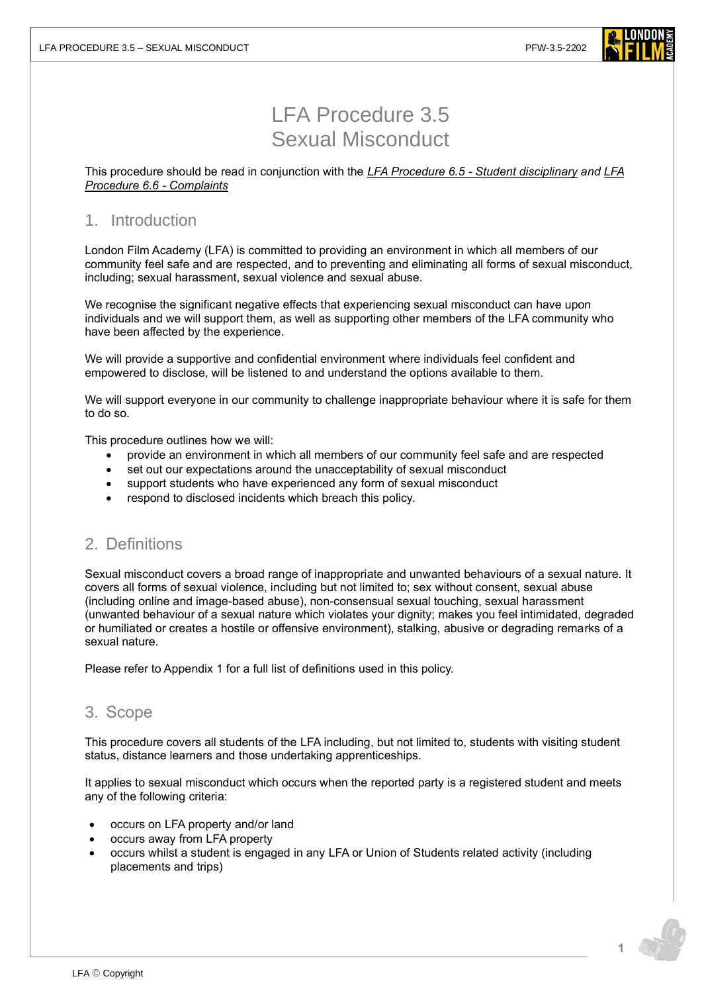

# LFA Procedure 3.5 Sexual Misconduct

This procedure should be read in conjunction with the *[LFA Procedure 6.5 -](https://www.londonfilmacademy.com/LFA_Procedure_6.5_Student_disciplinary_procedure) Student disciplinary and [LFA](https://www.londonfilmacademy.com/LFA_Procedure_6.6_Complaints)  [Procedure 6.6 -](https://www.londonfilmacademy.com/LFA_Procedure_6.6_Complaints) Complaints*

### 1. Introduction

London Film Academy (LFA) is committed to providing an environment in which all members of our community feel safe and are respected, and to preventing and eliminating all forms of sexual misconduct, including; sexual harassment, sexual violence and sexual abuse.

We recognise the significant negative effects that experiencing sexual misconduct can have upon individuals and we will support them, as well as supporting other members of the LFA community who have been affected by the experience.

We will provide a supportive and confidential environment where individuals feel confident and empowered to disclose, will be listened to and understand the options available to them.

We will support everyone in our community to challenge inappropriate behaviour where it is safe for them to do so.

This procedure outlines how we will:

- provide an environment in which all members of our community feel safe and are respected
- set out our expectations around the unacceptability of sexual misconduct
- support students who have experienced any form of sexual misconduct
- respond to disclosed incidents which breach this policy.

# 2. Definitions

Sexual misconduct covers a broad range of inappropriate and unwanted behaviours of a sexual nature. It covers all forms of sexual violence, including but not limited to; sex without consent, sexual abuse (including online and image-based abuse), non-consensual sexual touching, sexual harassment (unwanted behaviour of a sexual nature which violates your dignity; makes you feel intimidated, degraded or humiliated or creates a hostile or offensive environment), stalking, abusive or degrading remarks of a sexual nature.

Please refer to Appendix 1 for a full list of definitions used in this policy.

### 3. Scope

This procedure covers all students of the LFA including, but not limited to, students with visiting student status, distance learners and those undertaking apprenticeships.

It applies to sexual misconduct which occurs when the reported party is a registered student and meets any of the following criteria:

- occurs on LFA property and/or land
- occurs away from LFA property
- occurs whilst a student is engaged in any LFA or Union of Students related activity (including placements and trips)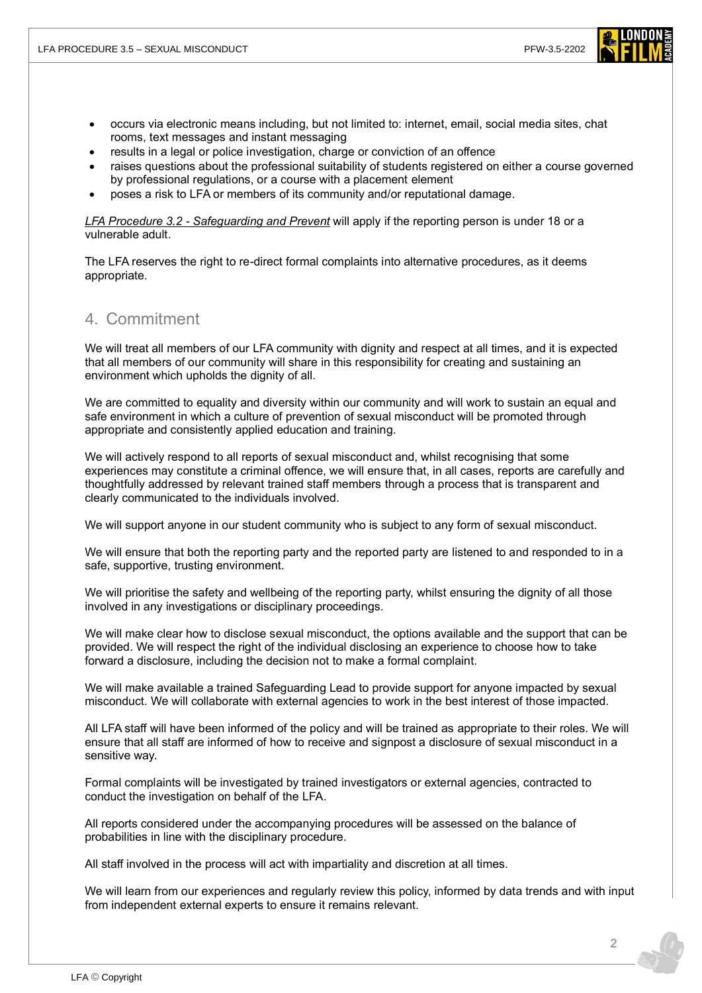

- occurs via electronic means including, but not limited to: internet, email, social media sites, chat rooms, text messages and instant messaging
- results in a legal or police investigation, charge or conviction of an offence
- raises questions about the professional suitability of students registered on either a course governed by professional regulations, or a course with a placement element
- poses a risk to LFA or members of its community and/or reputational damage.

*LFA Procedure 3.2 - [Safeguarding and Prevent](https://www.londonfilmacademy.com/LFA_Procedure_3.2_Safeguarding_and_Prevent)* will apply if the reporting person is under 18 or a vulnerable adult.

The LFA reserves the right to re-direct formal complaints into alternative procedures, as it deems appropriate.

### 4. Commitment

We will treat all members of our LFA community with dignity and respect at all times, and it is expected that all members of our community will share in this responsibility for creating and sustaining an environment which upholds the dignity of all.

We are committed to equality and diversity within our community and will work to sustain an equal and safe environment in which a culture of prevention of sexual misconduct will be promoted through appropriate and consistently applied education and training.

We will actively respond to all reports of sexual misconduct and, whilst recognising that some experiences may constitute a criminal offence, we will ensure that, in all cases, reports are carefully and thoughtfully addressed by relevant trained staff members through a process that is transparent and clearly communicated to the individuals involved.

We will support anyone in our student community who is subject to any form of sexual misconduct.

We will ensure that both the reporting party and the reported party are listened to and responded to in a safe, supportive, trusting environment.

We will prioritise the safety and wellbeing of the reporting party, whilst ensuring the dignity of all those involved in any investigations or disciplinary proceedings.

We will make clear how to disclose sexual misconduct, the options available and the support that can be provided. We will respect the right of the individual disclosing an experience to choose how to take forward a disclosure, including the decision not to make a formal complaint.

We will make available a trained Safeguarding Lead to provide support for anyone impacted by sexual misconduct. We will collaborate with external agencies to work in the best interest of those impacted.

All LFA staff will have been informed of the policy and will be trained as appropriate to their roles. We will ensure that all staff are informed of how to receive and signpost a disclosure of sexual misconduct in a sensitive way.

Formal complaints will be investigated by trained investigators or external agencies, contracted to conduct the investigation on behalf of the LFA.

All reports considered under the accompanying procedures will be assessed on the balance of probabilities in line with the disciplinary procedure.

All staff involved in the process will act with impartiality and discretion at all times.

We will learn from our experiences and regularly review this policy, informed by data trends and with input from independent external experts to ensure it remains relevant.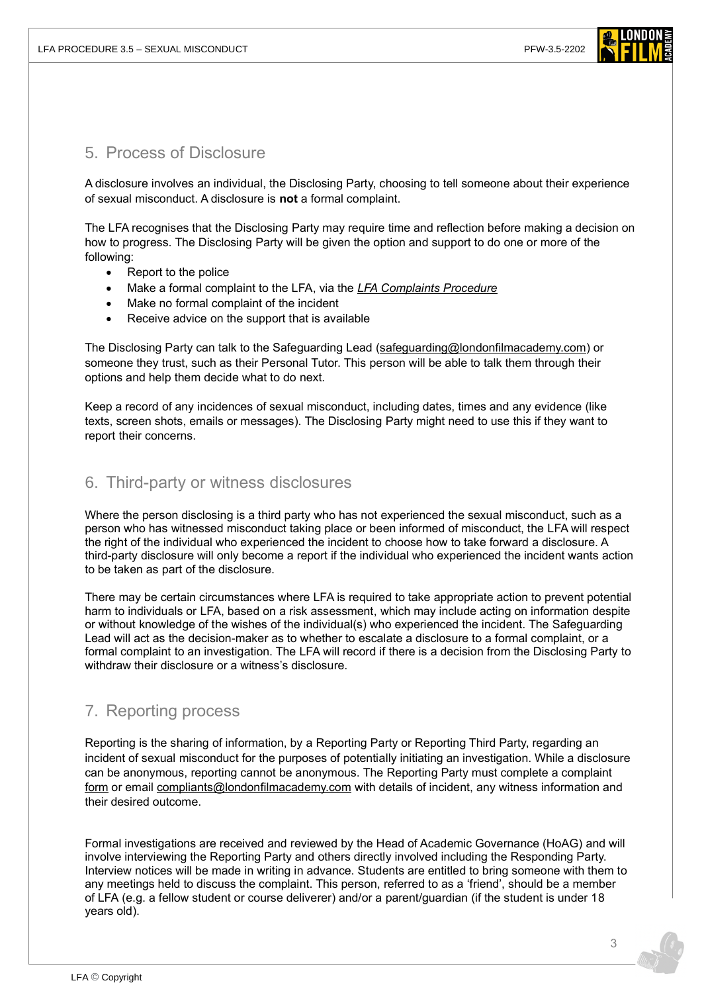

### 5. Process of Disclosure

A disclosure involves an individual, the Disclosing Party, choosing to tell someone about their experience of sexual misconduct. A disclosure is **not** a formal complaint.

The LFA recognises that the Disclosing Party may require time and reflection before making a decision on how to progress. The Disclosing Party will be given the option and support to do one or more of the following:

- Report to the police
- Make a formal complaint to the LFA, via the *[LFA Complaints Procedure](https://www.londonfilmacademy.com/LFA_Procedure_6.6_Complaints)*
- Make no formal complaint of the incident
- Receive advice on the support that is available

The Disclosing Party can talk to the Safeguarding Lead [\(safeguarding@londonfilmacademy.com\)](mailto:safeguarding@londonfilmacademy.com) or someone they trust, such as their Personal Tutor. This person will be able to talk them through their options and help them decide what to do next.

Keep a record of any incidences of sexual misconduct, including dates, times and any evidence (like texts, screen shots, emails or messages). The Disclosing Party might need to use this if they want to report their concerns.

### 6. Third-party or witness disclosures

Where the person disclosing is a third party who has not experienced the sexual misconduct, such as a person who has witnessed misconduct taking place or been informed of misconduct, the LFA will respect the right of the individual who experienced the incident to choose how to take forward a disclosure. A third-party disclosure will only become a report if the individual who experienced the incident wants action to be taken as part of the disclosure.

There may be certain circumstances where LFA is required to take appropriate action to prevent potential harm to individuals or LFA, based on a risk assessment, which may include acting on information despite or without knowledge of the wishes of the individual(s) who experienced the incident. The Safeguarding Lead will act as the decision-maker as to whether to escalate a disclosure to a formal complaint, or a formal complaint to an investigation. The LFA will record if there is a decision from the Disclosing Party to withdraw their disclosure or a witness's disclosure.

# 7. Reporting process

Reporting is the sharing of information, by a Reporting Party or Reporting Third Party, regarding an incident of sexual misconduct for the purposes of potentially initiating an investigation. While a disclosure can be anonymous, reporting cannot be anonymous. The Reporting Party must complete a complaint [form](https://forms.office.com/r/BB0b2xukWj) or email [compliants@londonfilmacademy.com](mailto:compliants@londonfilmacademy.com) with details of incident, any witness information and their desired outcome.

Formal investigations are received and reviewed by the Head of Academic Governance (HoAG) and will involve interviewing the Reporting Party and others directly involved including the Responding Party. Interview notices will be made in writing in advance. Students are entitled to bring someone with them to any meetings held to discuss the complaint. This person, referred to as a 'friend', should be a member of LFA (e.g. a fellow student or course deliverer) and/or a parent/guardian (if the student is under 18 years old).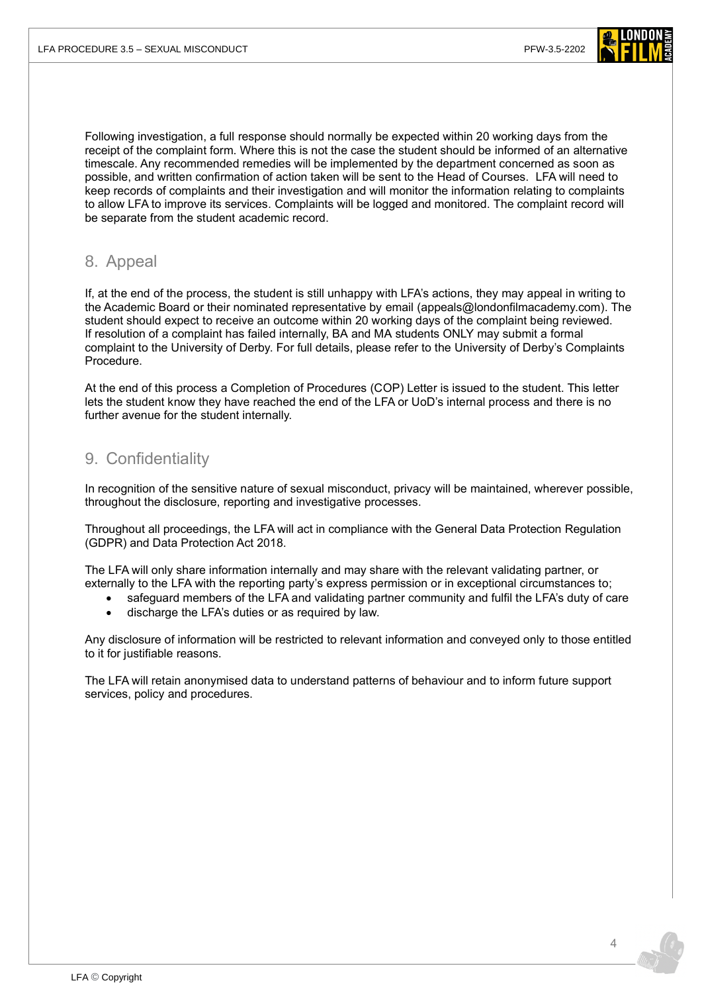

Following investigation, a full response should normally be expected within 20 working days from the receipt of the complaint form. Where this is not the case the student should be informed of an alternative timescale. Any recommended remedies will be implemented by the department concerned as soon as possible, and written confirmation of action taken will be sent to the Head of Courses. LFA will need to keep records of complaints and their investigation and will monitor the information relating to complaints to allow LFA to improve its services. Complaints will be logged and monitored. The complaint record will be separate from the student academic record.

### 8. Appeal

If, at the end of the process, the student is still unhappy with LFA's actions, they may appeal in writing to the Academic Board or their nominated representative by email [\(appeals@londonfilmacademy.com\)](mailto:appeals@londonfilmacademy.com?subject=Complaint%20Appeal). The student should expect to receive an outcome within 20 working days of the complaint being reviewed. If resolution of a complaint has failed internally, BA and MA students ONLY may submit a formal complaint to the University of Derby. For full details, please refer to the [University of Derby's Complaints](https://www.derby.ac.uk/about/academic-regulations/complaints-procedure/)  [Procedure.](https://www.derby.ac.uk/about/academic-regulations/complaints-procedure/)

At the end of this process a Completion of Procedures (COP) Letter is issued to the student. This letter lets the student know they have reached the end of the LFA or UoD's internal process and there is no further avenue for the student internally.

# 9. Confidentiality

In recognition of the sensitive nature of sexual misconduct, privacy will be maintained, wherever possible, throughout the disclosure, reporting and investigative processes.

Throughout all proceedings, the LFA will act in compliance with the General Data Protection Regulation (GDPR) and Data Protection Act 2018.

The LFA will only share information internally and may share with the relevant validating partner, or externally to the LFA with the reporting party's express permission or in exceptional circumstances to;

- safeguard members of the LFA and validating partner community and fulfil the LFA's duty of care
	- discharge the LFA's duties or as required by law.

Any disclosure of information will be restricted to relevant information and conveyed only to those entitled to it for justifiable reasons.

The LFA will retain anonymised data to understand patterns of behaviour and to inform future support services, policy and procedures.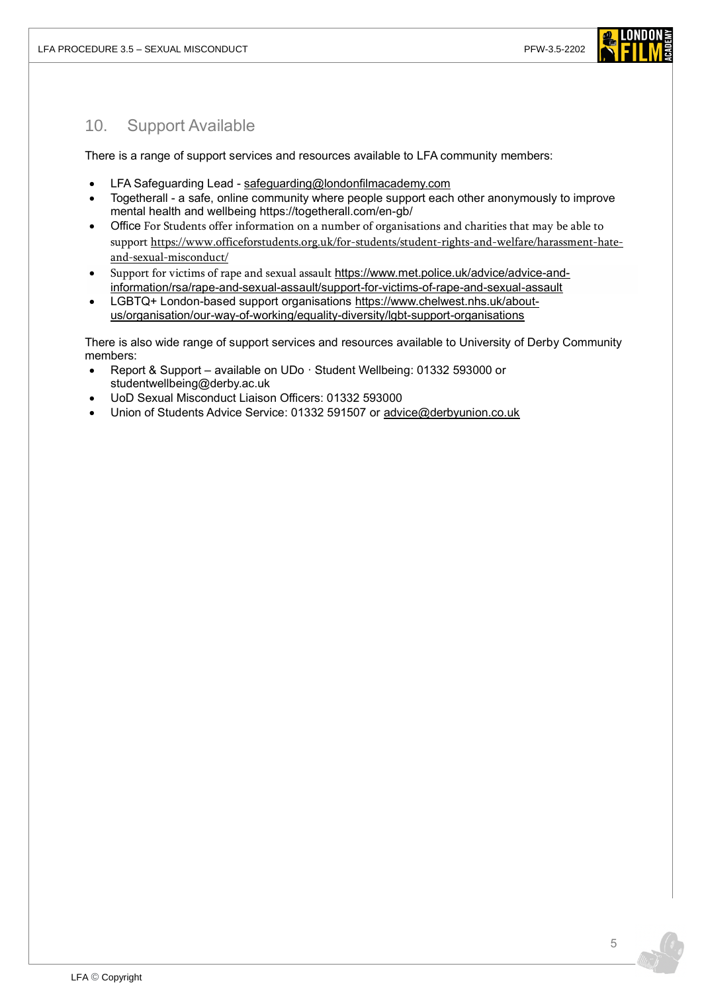

# 10. Support Available

There is a range of support services and resources available to LFA community members:

- LFA Safeguarding Lead [safeguarding@londonfilmacademy.com](mailto:safeguarding@londonfilmacademy.com)
- Togetherall a safe, online community where people support each other anonymously to improve mental health and wellbeing<https://togetherall.com/en-gb/>
- Office For Students offer information on a number of organisations and charities that may be able to support [https://www.officeforstudents.org.uk/for-students/student-rights-and-welfare/harassment-hate](https://www.officeforstudents.org.uk/for-students/student-rights-and-welfare/harassment-hate-and-sexual-misconduct/)[and-sexual-misconduct/](https://www.officeforstudents.org.uk/for-students/student-rights-and-welfare/harassment-hate-and-sexual-misconduct/)
- Support for victims of rape and sexual assault [https://www.met.police.uk/advice/advice-and](https://www.met.police.uk/advice/advice-and-information/rsa/rape-and-sexual-assault/support-for-victims-of-rape-and-sexual-assault)[information/rsa/rape-and-sexual-assault/support-for-victims-of-rape-and-sexual-assault](https://www.met.police.uk/advice/advice-and-information/rsa/rape-and-sexual-assault/support-for-victims-of-rape-and-sexual-assault)
- LGBTQ+ London-based support organisations [https://www.chelwest.nhs.uk/about](https://www.chelwest.nhs.uk/about-us/organisation/our-way-of-working/equality-diversity/lgbt-support-organisations)[us/organisation/our-way-of-working/equality-diversity/lgbt-support-organisations](https://www.chelwest.nhs.uk/about-us/organisation/our-way-of-working/equality-diversity/lgbt-support-organisations)

There is also wide range of support services and resources available to University of Derby Community members:

- Report & Support available on UDo · Student Wellbeing: 01332 593000 or studentwellbeing@derby.ac.uk
- UoD Sexual Misconduct Liaison Officers: 01332 593000
- Union of Students Advice Service: 01332 591507 or [advice@derbyunion.co.uk](mailto:advice@derbyunion.co.uk)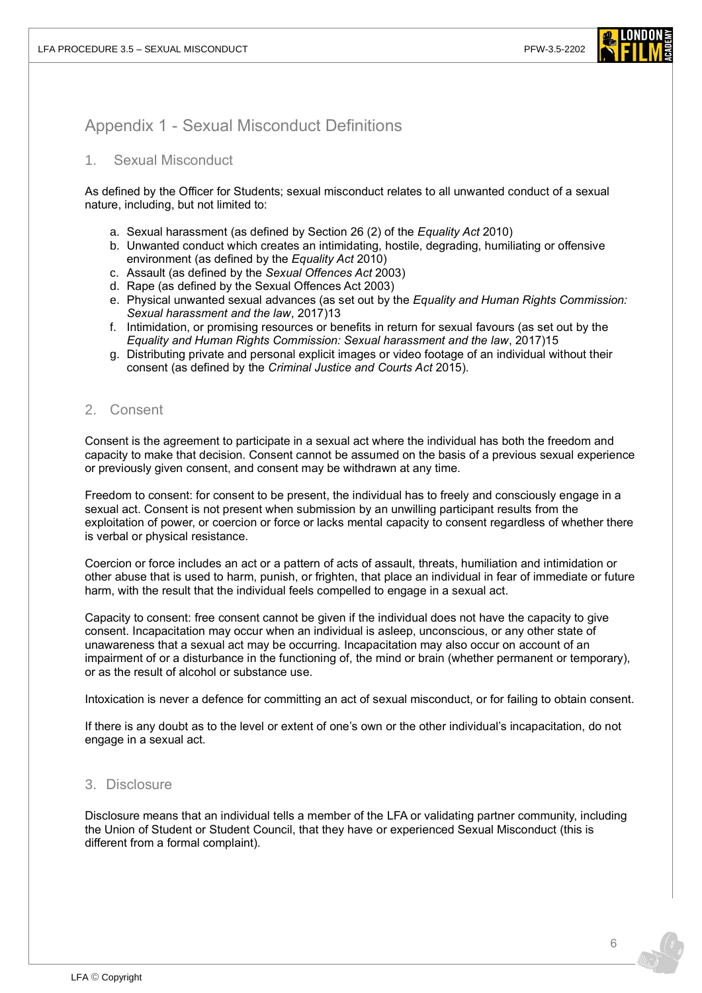

### Appendix 1 - Sexual Misconduct Definitions

#### 1. Sexual Misconduct

As defined by the Officer for Students; sexual misconduct relates to all unwanted conduct of a sexual nature, including, but not limited to:

- a. Sexual harassment (as defined by Section 26 (2) of the *Equality Act* 2010)
- b. Unwanted conduct which creates an intimidating, hostile, degrading, humiliating or offensive environment (as defined by the *Equality Act* 2010)
- c. Assault (as defined by the *Sexual Offences Act* 2003)
- d. Rape (as defined by the Sexual Offences Act 2003)
- e. Physical unwanted sexual advances (as set out by the *Equality and Human Rights Commission: Sexual harassment and the law*, 2017)13
- f. Intimidation, or promising resources or benefits in return for sexual favours (as set out by the *Equality and Human Rights Commission: Sexual harassment and the law*, 2017)15
- g. Distributing private and personal explicit images or video footage of an individual without their consent (as defined by the *Criminal Justice and Courts Act* 2015).

#### 2. Consent

Consent is the agreement to participate in a sexual act where the individual has both the freedom and capacity to make that decision. Consent cannot be assumed on the basis of a previous sexual experience or previously given consent, and consent may be withdrawn at any time.

Freedom to consent: for consent to be present, the individual has to freely and consciously engage in a sexual act. Consent is not present when submission by an unwilling participant results from the exploitation of power, or coercion or force or lacks mental capacity to consent regardless of whether there is verbal or physical resistance.

Coercion or force includes an act or a pattern of acts of assault, threats, humiliation and intimidation or other abuse that is used to harm, punish, or frighten, that place an individual in fear of immediate or future harm, with the result that the individual feels compelled to engage in a sexual act.

Capacity to consent: free consent cannot be given if the individual does not have the capacity to give consent. Incapacitation may occur when an individual is asleep, unconscious, or any other state of unawareness that a sexual act may be occurring. Incapacitation may also occur on account of an impairment of or a disturbance in the functioning of, the mind or brain (whether permanent or temporary), or as the result of alcohol or substance use.

Intoxication is never a defence for committing an act of sexual misconduct, or for failing to obtain consent.

If there is any doubt as to the level or extent of one's own or the other individual's incapacitation, do not engage in a sexual act.

#### 3. Disclosure

Disclosure means that an individual tells a member of the LFA or validating partner community, including the Union of Student or Student Council, that they have or experienced Sexual Misconduct (this is different from a formal complaint).